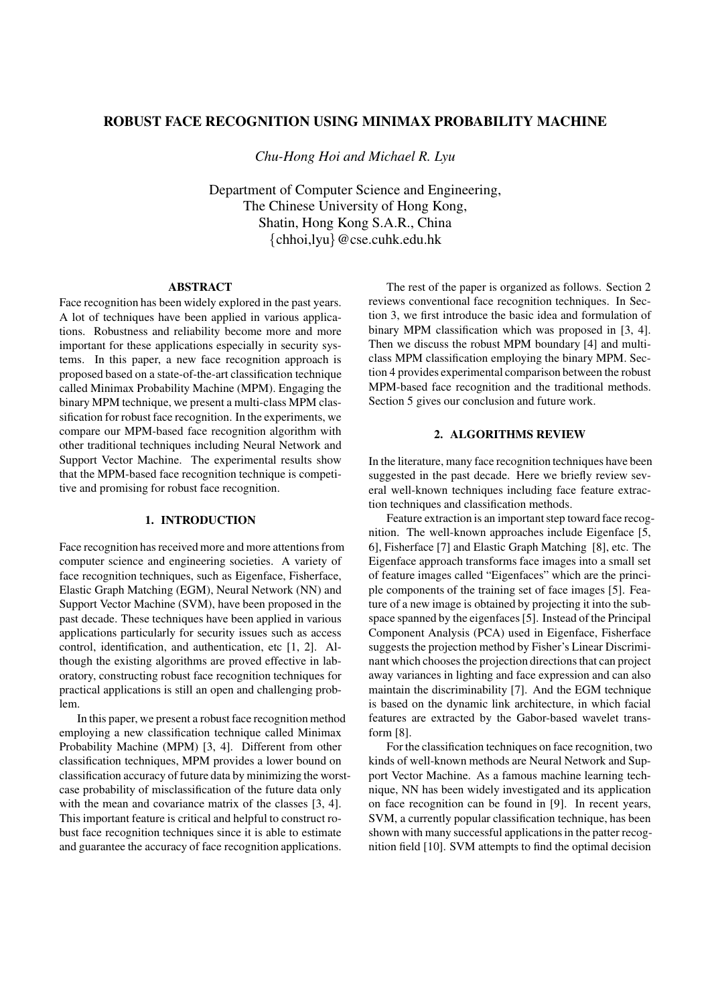# **ROBUST FACE RECOGNITION USING MINIMAX PROBABILITY MACHINE**

*Chu-Hong Hoi and Michael R. Lyu*

Department of Computer Science and Engineering, The Chinese University of Hong Kong, Shatin, Hong Kong S.A.R., China  $\{\text{chhoi,lyu}\}\ @{\text{cse.cuhk.edu.hk}}$ 

# **ABSTRACT**

Face recognition has been widely explored in the past years. A lot of techniques have been applied in various applications. Robustness and reliability become more and more important for these applications especially in security systems. In this paper, a new face recognition approach is proposed based on a state-of-the-art classification technique called Minimax Probability Machine (MPM). Engaging the binary MPM technique, we present a multi-class MPM classification for robust face recognition. In the experiments, we compare our MPM-based face recognition algorithm with other traditional techniques including Neural Network and Support Vector Machine. The experimental results show that the MPM-based face recognition technique is competitive and promising for robust face recognition.

# **1. INTRODUCTION**

Face recognition has received more and more attentions from computer science and engineering societies. A variety of face recognition techniques, such as Eigenface, Fisherface, Elastic Graph Matching (EGM), Neural Network (NN) and Support Vector Machine (SVM), have been proposed in the past decade. These techniques have been applied in various applications particularly for security issues such as access control, identification, and authentication, etc [1, 2]. Although the existing algorithms are proved effective in laboratory, constructing robust face recognition techniques for practical applications is still an open and challenging problem.

In this paper, we present a robust face recognition method employing a new classification technique called Minimax Probability Machine (MPM) [3, 4]. Different from other classification techniques, MPM provides a lower bound on classification accuracy of future data by minimizing the worstcase probability of misclassification of the future data only with the mean and covariance matrix of the classes [3, 4]. This important feature is critical and helpful to construct robust face recognition techniques since it is able to estimate and guarantee the accuracy of face recognition applications.

The rest of the paper is organized as follows. Section 2 reviews conventional face recognition techniques. In Section 3, we first introduce the basic idea and formulation of binary MPM classification which was proposed in [3, 4]. Then we discuss the robust MPM boundary [4] and multiclass MPM classification employing the binary MPM. Section 4 provides experimental comparison between the robust MPM-based face recognition and the traditional methods. Section 5 gives our conclusion and future work.

### **2. ALGORITHMS REVIEW**

In the literature, many face recognition techniques have been suggested in the past decade. Here we briefly review several well-known techniques including face feature extraction techniques and classification methods.

Feature extraction is an important step toward face recognition. The well-known approaches include Eigenface [5, 6], Fisherface [7] and Elastic Graph Matching [8], etc. The Eigenface approach transforms face images into a small set of feature images called "Eigenfaces" which are the principle components of the training set of face images [5]. Feature of a new image is obtained by projecting it into the subspace spanned by the eigenfaces[5]. Instead of the Principal Component Analysis (PCA) used in Eigenface, Fisherface suggests the projection method by Fisher's Linear Discriminant which chooses the projection directions that can project away variances in lighting and face expression and can also maintain the discriminability [7]. And the EGM technique is based on the dynamic link architecture, in which facial features are extracted by the Gabor-based wavelet transform [8].

For the classification techniques on face recognition, two kinds of well-known methods are Neural Network and Support Vector Machine. As a famous machine learning technique, NN has been widely investigated and its application on face recognition can be found in [9]. In recent years, SVM, a currently popular classification technique, has been shown with many successful applications in the patter recognition field [10]. SVM attempts to find the optimal decision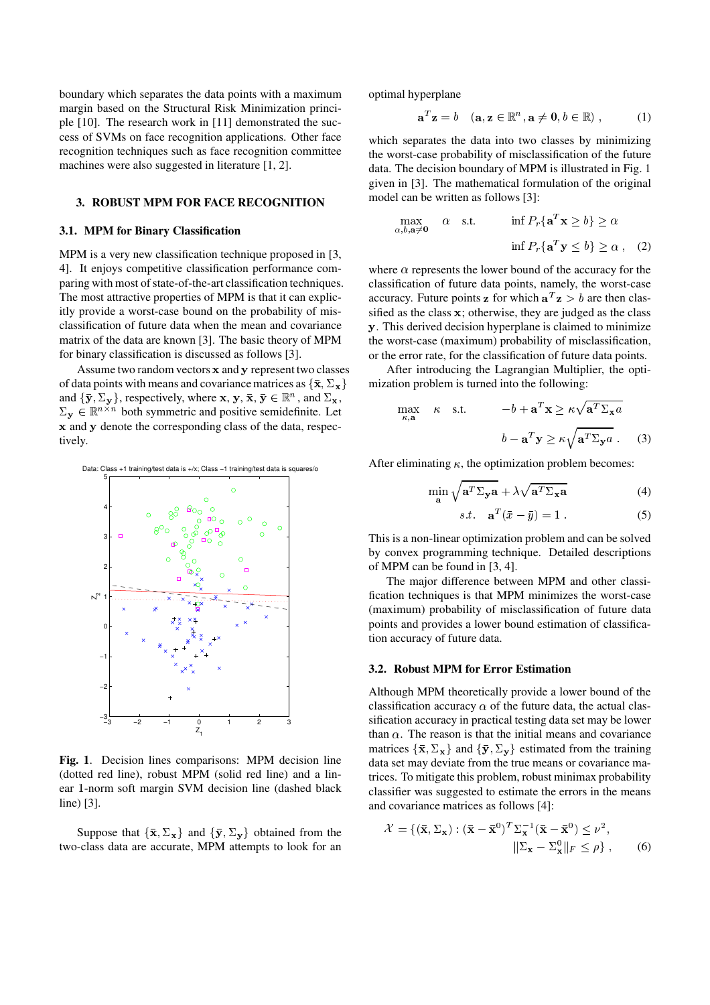boundary which separates the data points with a maximum margin based on the Structural Risk Minimization principle [10]. The research work in [11] demonstrated the success of SVMs on face recognition applications. Other face recognition techniques such as face recognition committee machines were also suggested in literature [1, 2].

# **3. ROBUST MPM FOR FACE RECOGNITION**

#### **3.1. MPM for Binary Classification**

MPM is a very new classification technique proposed in [3, 4]. It enjoys competitive classification performance comparing with most of state-of-the-art classification techniques. The most attractive properties of MPM is that it can explicitly provide a worst-case bound on the probability of misclassification of future data when the mean and covariance matrix of the data are known [3]. The basic theory of MPM for binary classification is discussed as follows [3].

Assume two random vectors x and y represent two classes of data points with means and covariance matrices as  $\{\bar{\mathbf{x}}, \Sigma_{\mathbf{x}}\}$  m and  $\{\bar{y}, \Sigma_{y}\}\$ , respectively, where  $x, y, \bar{x}, \bar{y} \in \mathbb{R}^{n}$ , and  $\Sigma_{x}$ ,  $\Sigma_{\mathbf{y}} \in \mathbb{R}^{n \times n}$  both symmetric and positive semidefinite. Let x and y denote the corresponding class of the data, respectively.



**Fig. 1**. Decision lines comparisons: MPM decision line (dotted red line), robust MPM (solid red line) and a linear 1-norm soft margin SVM decision line (dashed black line) [3].

Suppose that  $\{\bar{\mathbf{x}}, \Sigma_{\mathbf{x}}\}$  and  $\{\bar{\mathbf{y}}, \Sigma_{\mathbf{y}}\}$  obtained from the two-class data are accurate, MPM attempts to look for an optimal hyperplane

$$
\mathbf{a}^T \mathbf{z} = b \quad (\mathbf{a}, \mathbf{z} \in \mathbb{R}^n, \mathbf{a} \neq \mathbf{0}, b \in \mathbb{R}) \;, \tag{1}
$$

which separates the data into two classes by minimizing the worst-case probability of misclassification of the future data. The decision boundary of MPM is illustrated in Fig. 1 given in [3]. The mathematical formulation of the original model can be written as follows [3]:

$$
\max_{\alpha, b, \mathbf{a} \neq \mathbf{0}} \quad \alpha \quad \text{s.t.} \quad \inf P_r \{ \mathbf{a}^T \mathbf{x} \ge b \} \ge \alpha
$$
\n
$$
\inf P_r \{ \mathbf{a}^T \mathbf{y} \le b \} \ge \alpha \,, \quad (2)
$$

where  $\alpha$  represents the lower bound of the accuracy for the classification of future data points, namely, the worst-case classification of future data points, namely, the worst-case accuracy. Future points **z** for which  $\mathbf{a}^T \mathbf{z} > b$  are then classified as the class  $x$ ; otherwise, they are judged as the class . This derived decision hyperplane is claimed to minimize the worst-case (maximum) probability of misclassification, or the error rate, for the classification of future data points.

After introducing the Lagrangian Multiplier, the optimization problem is turned into the following:

$$
\max_{\kappa, \mathbf{a}} \kappa \quad \text{s.t.} \qquad -b + \mathbf{a}^T \mathbf{x} \ge \kappa \sqrt{\mathbf{a}^T \Sigma_{\mathbf{x}} a}
$$
\n
$$
b - \mathbf{a}^T \mathbf{y} \ge \kappa \sqrt{\mathbf{a}^T \Sigma_{\mathbf{y}} a} . \tag{3}
$$

After eliminating  $\kappa$ , the optimization problem becomes:

$$
\min_{\mathbf{a}} \sqrt{\mathbf{a}^T \Sigma_{\mathbf{y}} \mathbf{a}} + \lambda \sqrt{\mathbf{a}^T \Sigma_{\mathbf{x}} \mathbf{a}} \tag{4}
$$

$$
s.t. \quad \mathbf{a}^T (\bar{x} - \bar{y}) = 1 \tag{5}
$$

$$
s.t. \quad \mathbf{a}^T(\bar{x}-\bar{y})=1\ .
$$
 (5)

This is a non-linear optimization problem and can be solved by convex programming technique. Detailed descriptions of MPM can be found in [3, 4].

The major difference between MPM and other classification techniques is that MPM minimizes the worst-case (maximum) probability of misclassification of future data points and provides a lower bound estimation of classification accuracy of future data.

# **3.2. Robust MPM for Error Estimation**

Although MPM theoretically provide a lower bound of the classification accuracy  $\alpha$  of the future data, the actual classification accuracy in practical testing data set may be lower than  $\alpha$ . The reason is that the initial means and covariance matrices  $\{\bar{\mathbf{x}}, \Sigma_{\mathbf{x}}\}$  and  $\{\bar{\mathbf{y}}, \Sigma_{\mathbf{y}}\}$  estimated from the training data set may deviate from the true means or covariance matrices. To mitigate this problem, robust minimax probability classifier was suggested to estimate the errors in the means and covariance matrices as follows [4]:

$$
\mathcal{X} = \{ (\bar{\mathbf{x}}, \Sigma_{\mathbf{x}}) : (\bar{\mathbf{x}} - \bar{\mathbf{x}}^0)^T \Sigma_{\mathbf{x}}^{-1} (\bar{\mathbf{x}} - \bar{\mathbf{x}}^0) \le \nu^2, \|\Sigma_{\mathbf{x}} - \Sigma_{\mathbf{x}}^0\|_F \le \rho \}, \qquad (6)
$$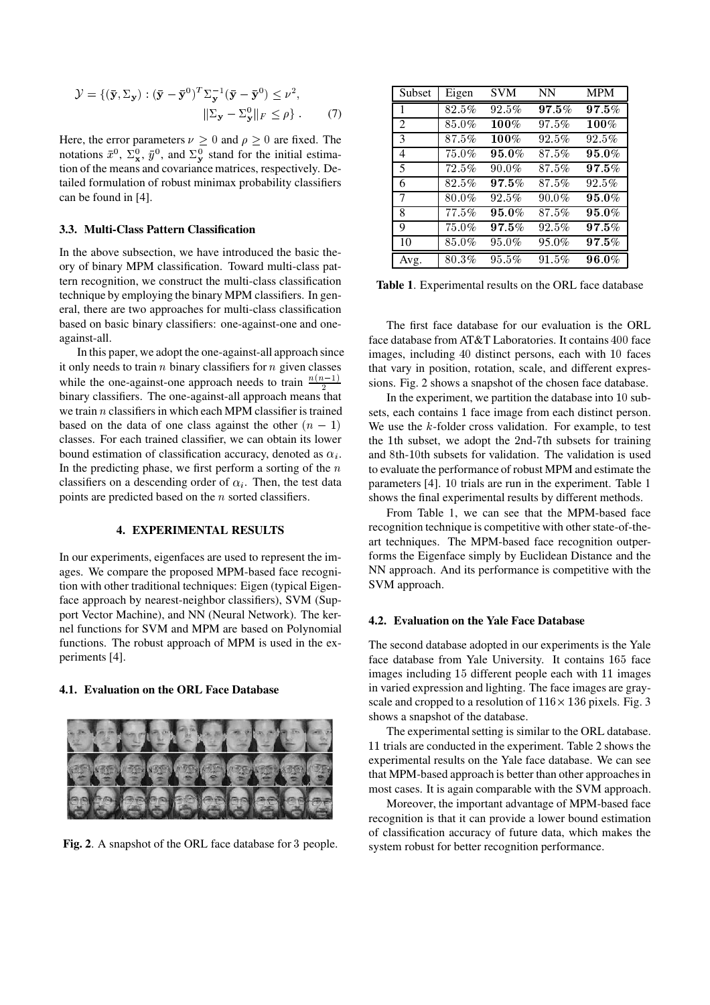$$
\mathcal{Y} = \{ (\bar{\mathbf{y}}, \Sigma_{\mathbf{y}}) : (\bar{\mathbf{y}} - \bar{\mathbf{y}}^0)^T \Sigma_{\mathbf{y}}^{-1} (\bar{\mathbf{y}} - \bar{\mathbf{y}}^0) \le \nu^2, \|\Sigma_{\mathbf{y}} - \Sigma_{\mathbf{y}}^0\|_F \le \rho \}.
$$
 (7)

Here, the error parameters  $\nu \geq 0$  and  $\rho \geq 0$  are fixed. The notations  $\bar{x}^0$ ,  $\Sigma^0_x$ ,  $\bar{y}^0$ , and  $\Sigma^0_y$  stand for the initial estimation of the means and covariance matrices, respectively. Detailed formulation of robust minimax probability classifiers can be found in [4].

# **3.3. Multi-Class Pattern Classification**

In the above subsection, we have introduced the basic theory of binary MPM classification. Toward multi-class pattern recognition, we construct the multi-class classification technique by employing the binary MPM classifiers. In general, there are two approaches for multi-class classification based on basic binary classifiers: one-against-one and oneagainst-all.

In this paper, we adopt the one-against-all approach since it only needs to train  $n$  binary classifiers for  $n$  given classes while the one-against-one approach needs to train  $\frac{n(n-1)}{2}$ h binary classifiers. The one-against-all approach means that we train  $n$  classifiers in which each MPM classifier is trained based on the data of one class against the other  $(n-1)$ classes. For each trained classifier, we can obtain its lower bound estimation of classification accuracy, denoted as  $\alpha_i$ . In the predicting phase, we first perform a sorting of the  $n$ classifiers on a descending order of  $\alpha_i$ . Then, the test data points are predicted based on the  $n$  sorted classifiers.

# **4. EXPERIMENTAL RESULTS**

In our experiments, eigenfaces are used to represent the images. We compare the proposed MPM-based face recognition with other traditional techniques: Eigen (typical Eigenface approach by nearest-neighbor classifiers), SVM (Support Vector Machine), and NN (Neural Network). The kernel functions for SVM and MPM are based on Polynomial functions. The robust approach of MPM is used in the experiments [4].

#### **4.1. Evaluation on the ORL Face Database**



**Fig. 2.** A snapshot of the ORL face database for 3 people.

| Subset         | Eigen    | <b>SVM</b> | <b>NN</b> | <b>MPM</b> |
|----------------|----------|------------|-----------|------------|
| 1              | $82.5\%$ | 92.5%      | 97.5%     | $97.5\%$   |
| 2              | 85.0%    | $100\%$    | 97.5%     | 100%       |
| 3              | 87.5%    | $100\%$    | 92.5%     | $92.5\%$   |
| $\overline{4}$ | 75.0%    | 95.0%      | 87.5%     | $95.0\%$   |
| 5              | $72.5\%$ | $90.0\%$   | 87.5%     | $97.5\%$   |
| 6              | 82.5%    | 97.5%      | 87.5%     | 92.5%      |
| 7              | 80.0%    | $92.5\%$   | $90.0\%$  | $95.0\%$   |
| 8              | 77.5%    | $95.0\%$   | 87.5%     | $95.0\%$   |
| 9              | 75.0%    | $97.5\%$   | 92.5%     | $97.5\%$   |
| 10             | $85.0\%$ | 95.0%      | 95.0%     | $97.5\%$   |
| Avg.           | 80.3%    | 95.5%      | 91.5%     | $96.0\%$   |

**Table 1**. Experimental results on the ORL face database

The first face database for our evaluation is the ORL face database from AT&T Laboratories. It contains  $400$  face images, including 40 distinct persons, each with 10 faces that vary in position, rotation, scale, and different expressions. Fig. 2 shows a snapshot of the chosen face database.

In the experiment, we partition the database into  $10$  subsets, each contains 1 face image from each distinct person. We use the  $k$ -folder cross validation. For example, to test the 1th subset, we adopt the 2nd-7th subsets for training and 8th-10th subsets for validation. The validation is used to evaluate the performance of robust MPM and estimate the parameters [4]. 10 trials are run in the experiment. Table 1 shows the final experimental results by different methods.

From Table 1, we can see that the MPM-based face recognition technique is competitive with other state-of-theart techniques. The MPM-based face recognition outperforms the Eigenface simply by Euclidean Distance and the NN approach. And its performance is competitive with the SVM approach.

# **4.2. Evaluation on the Yale Face Database**

The second database adopted in our experiments is the Yale face database from Yale University. It contains 165 face images including 15 different people each with 11 images in varied expression and lighting. The face images are grayscale and cropped to a resolution of  $116 \times 136$  pixels. Fig. 3 shows a snapshot of the database.

The experimental setting is similar to the ORL database. 11 trials are conducted in the experiment. Table 2 shows the experimental results on the Yale face database. We can see that MPM-based approach is better than other approaches in most cases. It is again comparable with the SVM approach.

Moreover, the important advantage of MPM-based face recognition is that it can provide a lower bound estimation of classification accuracy of future data, which makes the system robust for better recognition performance.